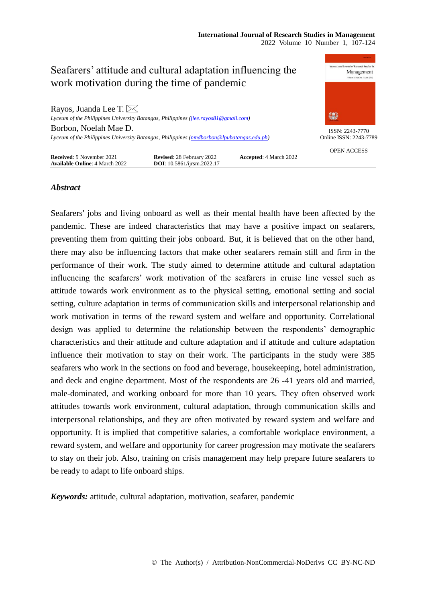

# *Abstract*

Seafarers' jobs and living onboard as well as their mental health have been affected by the pandemic. These are indeed characteristics that may have a positive impact on seafarers, preventing them from quitting their jobs onboard. But, it is believed that on the other hand, there may also be influencing factors that make other seafarers remain still and firm in the performance of their work. The study aimed to determine attitude and cultural adaptation influencing the seafarers' work motivation of the seafarers in cruise line vessel such as attitude towards work environment as to the physical setting, emotional setting and social setting, culture adaptation in terms of communication skills and interpersonal relationship and work motivation in terms of the reward system and welfare and opportunity. Correlational design was applied to determine the relationship between the respondents' demographic characteristics and their attitude and culture adaptation and if attitude and culture adaptation influence their motivation to stay on their work. The participants in the study were 385 seafarers who work in the sections on food and beverage, housekeeping, hotel administration, and deck and engine department. Most of the respondents are 26 -41 years old and married, male-dominated, and working onboard for more than 10 years. They often observed work attitudes towards work environment, cultural adaptation, through communication skills and interpersonal relationships, and they are often motivated by reward system and welfare and opportunity. It is implied that competitive salaries, a comfortable workplace environment, a reward system, and welfare and opportunity for career progression may motivate the seafarers to stay on their job. Also, training on crisis management may help prepare future seafarers to be ready to adapt to life onboard ships.

*Keywords:* attitude, cultural adaptation, motivation, seafarer, pandemic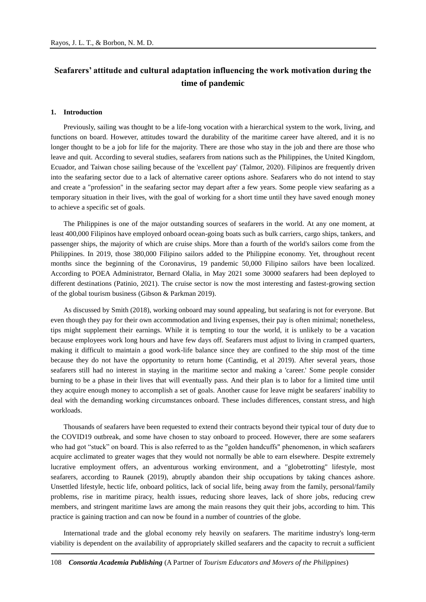# **Seafarers' attitude and cultural adaptation influencing the work motivation during the time of pandemic**

#### **1. Introduction**

Previously, sailing was thought to be a life-long vocation with a hierarchical system to the work, living, and functions on board. However, attitudes toward the durability of the maritime career have altered, and it is no longer thought to be a job for life for the majority. There are those who stay in the job and there are those who leave and quit. According to several studies, seafarers from nations such as the Philippines, the United Kingdom, Ecuador, and Taiwan chose sailing because of the 'excellent pay' (Talmor, 2020). Filipinos are frequently driven into the seafaring sector due to a lack of alternative career options ashore. Seafarers who do not intend to stay and create a "profession" in the seafaring sector may depart after a few years. Some people view seafaring as a temporary situation in their lives, with the goal of working for a short time until they have saved enough money to achieve a specific set of goals.

The Philippines is one of the major outstanding sources of seafarers in the world. At any one moment, at least 400,000 Filipinos have employed onboard ocean-going boats such as bulk carriers, cargo ships, tankers, and passenger ships, the majority of which are cruise ships. More than a fourth of the world's sailors come from the Philippines. In 2019, those 380,000 Filipino sailors added to the Philippine economy. Yet, throughout recent months since the beginning of the Coronavirus, 19 pandemic 50,000 Filipino sailors have been localized. According to POEA Administrator, Bernard Olalia, in May 2021 some 30000 seafarers had been deployed to different destinations (Patinio, 2021). The cruise sector is now the most interesting and fastest-growing section of the global tourism business (Gibson & Parkman 2019).

As discussed by Smith (2018), working onboard may sound appealing, but seafaring is not for everyone. But even though they pay for their own accommodation and living expenses, their pay is often minimal; nonetheless, tips might supplement their earnings. While it is tempting to tour the world, it is unlikely to be a vacation because employees work long hours and have few days off. Seafarers must adjust to living in cramped quarters, making it difficult to maintain a good work-life balance since they are confined to the ship most of the time because they do not have the opportunity to return home (Cantindig, et al 2019). After several years, those seafarers still had no interest in staying in the maritime sector and making a 'career.' Some people consider burning to be a phase in their lives that will eventually pass. And their plan is to labor for a limited time until they acquire enough money to accomplish a set of goals. Another cause for leave might be seafarers' inability to deal with the demanding working circumstances onboard. These includes differences, constant stress, and high workloads.

Thousands of seafarers have been requested to extend their contracts beyond their typical tour of duty due to the COVID19 outbreak, and some have chosen to stay onboard to proceed. However, there are some seafarers who had got "stuck" on board. This is also referred to as the "golden handcuffs" phenomenon, in which seafarers acquire acclimated to greater wages that they would not normally be able to earn elsewhere. Despite extremely lucrative employment offers, an adventurous working environment, and a "globetrotting" lifestyle, most seafarers, according to Raunek (2019), abruptly abandon their ship occupations by taking chances ashore. Unsettled lifestyle, hectic life, onboard politics, lack of social life, being away from the family, personal/family problems, rise in maritime piracy, health issues, reducing shore leaves, lack of shore jobs, reducing crew members, and stringent maritime laws are among the main reasons they quit their jobs, according to him. This practice is gaining traction and can now be found in a number of countries of the globe.

International trade and the global economy rely heavily on seafarers. The maritime industry's long-term viability is dependent on the availability of appropriately skilled seafarers and the capacity to recruit a sufficient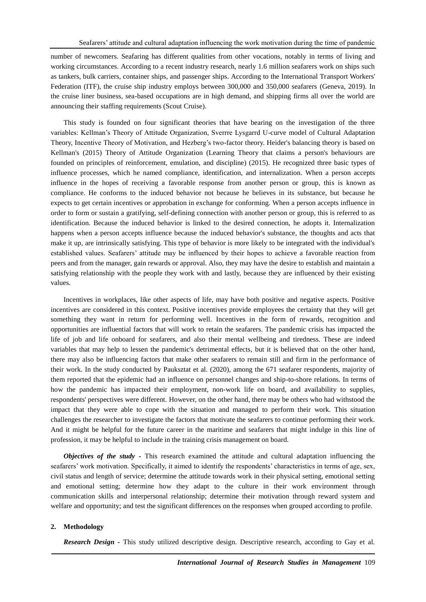number of newcomers. Seafaring has different qualities from other vocations, notably in terms of living and working circumstances. According to a recent industry research, nearly 1.6 million seafarers work on ships such as tankers, bulk carriers, container ships, and passenger ships. According to the International Transport Workers' Federation (ITF), the cruise ship industry employs between 300,000 and 350,000 seafarers (Geneva, 2019). In the cruise liner business, sea-based occupations are in high demand, and shipping firms all over the world are announcing their staffing requirements (Scout Cruise).

This study is founded on four significant theories that have bearing on the investigation of the three variables: Kellman's Theory of Attitude Organization, Sverrre Lysgarrd U-curve model of Cultural Adaptation Theory, Incentive Theory of Motivation, and Hezberg's two-factor theory. Heider's balancing theory is based on Kellman's (2015) Theory of Attitude Organization (Learning Theory that claims a person's behaviours are founded on principles of reinforcement, emulation, and discipline) (2015). He recognized three basic types of influence processes, which he named compliance, identification, and internalization. When a person accepts influence in the hopes of receiving a favorable response from another person or group, this is known as compliance. He conforms to the induced behavior not because he believes in its substance, but because he expects to get certain incentives or approbation in exchange for conforming. When a person accepts influence in order to form or sustain a gratifying, self-defining connection with another person or group, this is referred to as identification. Because the induced behavior is linked to the desired connection, he adopts it. Internalization happens when a person accepts influence because the induced behavior's substance, the thoughts and acts that make it up, are intrinsically satisfying. This type of behavior is more likely to be integrated with the individual's established values. Seafarers' attitude may be influenced by their hopes to achieve a favorable reaction from peers and from the manager, gain rewards or approval. Also, they may have the desire to establish and maintain a satisfying relationship with the people they work with and lastly, because they are influenced by their existing values.

Incentives in workplaces, like other aspects of life, may have both positive and negative aspects. Positive incentives are considered in this context. Positive incentives provide employees the certainty that they will get something they want in return for performing well. Incentives in the form of rewards, recognition and opportunities are influential factors that will work to retain the seafarers. The pandemic crisis has impacted the life of job and life onboard for seafarers, and also their mental wellbeing and tiredness. These are indeed variables that may help to lessen the pandemic's detrimental effects, but it is believed that on the other hand, there may also be influencing factors that make other seafarers to remain still and firm in the performance of their work. In the study conducted by Pauksztat et al. (2020), among the 671 seafarer respondents, majority of them reported that the epidemic had an influence on personnel changes and ship-to-shore relations. In terms of how the pandemic has impacted their employment, non-work life on board, and availability to supplies, respondents' perspectives were different. However, on the other hand, there may be others who had withstood the impact that they were able to cope with the situation and managed to perform their work. This situation challenges the researcher to investigate the factors that motivate the seafarers to continue performing their work. And it might be helpful for the future career in the maritime and seafarers that might indulge in this line of profession, it may be helpful to include in the training crisis management on board.

*Objectives of the study -* This research examined the attitude and cultural adaptation influencing the seafarers' work motivation. Specifically, it aimed to identify the respondents' characteristics in terms of age, sex, civil status and length of service; determine the attitude towards work in their physical setting, emotional setting and emotional setting; determine how they adapt to the culture in their work environment through communication skills and interpersonal relationship; determine their motivation through reward system and welfare and opportunity; and test the significant differences on the responses when grouped according to profile.

#### **2. Methodology**

*Research Design -* This study utilized descriptive design. Descriptive research, according to Gay et al.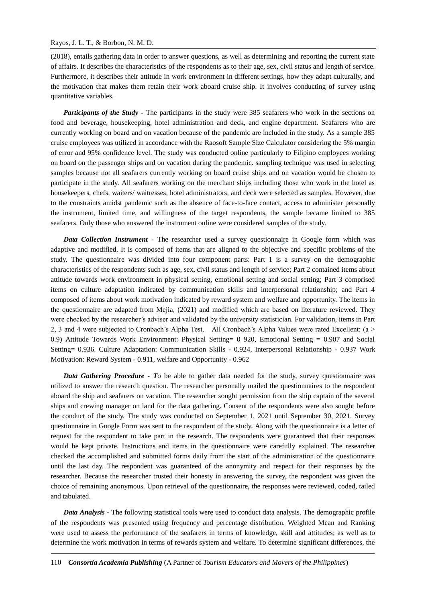(2018), entails gathering data in order to answer questions, as well as determining and reporting the current state of affairs. It describes the characteristics of the respondents as to their age, sex, civil status and length of service. Furthermore, it describes their attitude in work environment in different settings, how they adapt culturally, and the motivation that makes them retain their work aboard cruise ship. It involves conducting of survey using quantitative variables.

*Participants of the Study -* The participants in the study were 385 seafarers who work in the sections on food and beverage, housekeeping, hotel administration and deck, and engine department. Seafarers who are currently working on board and on vacation because of the pandemic are included in the study. As a sample 385 cruise employees was utilized in accordance with the Raosoft Sample Size Calculator considering the 5% margin of error and 95% confidence level. The study was conducted online particularly to Filipino employees working on board on the passenger ships and on vacation during the pandemic. sampling technique was used in selecting samples because not all seafarers currently working on board cruise ships and on vacation would be chosen to participate in the study. All seafarers working on the merchant ships including those who work in the hotel as housekeepers, chefs, waiters/ waitresses, hotel administrators, and deck were selected as samples. However, due to the constraints amidst pandemic such as the absence of face-to-face contact, access to administer personally the instrument, limited time, and willingness of the target respondents, the sample became limited to 385 seafarers. Only those who answered the instrument online were considered samples of the study.

*Data Collection Instrument -* The researcher used a survey questionnaire in Google form which was adaptive and modified. It is composed of items that are aligned to the objective and specific problems of the study. The questionnaire was divided into four component parts: Part 1 is a survey on the demographic characteristics of the respondents such as age, sex, civil status and length of service; Part 2 contained items about attitude towards work environment in physical setting, emotional setting and social setting; Part 3 comprised items on culture adaptation indicated by communication skills and interpersonal relationship; and Part 4 composed of items about work motivation indicated by reward system and welfare and opportunity. The items in the questionnaire are adapted from Mejia, (2021) and modified which are based on literature reviewed. They were checked by the researcher's adviser and validated by the university statistician. For validation, items in Part 2, 3 and 4 were subjected to Cronbach's Alpha Test. All Cronbach's Alpha Values were rated Excellent: (a > 0.9) Attitude Towards Work Environment: Physical Setting= 0 920, Emotional Setting = 0.907 and Social Setting= 0.936. Culture Adaptation: Communication Skills - 0.924, Interpersonal Relationship - 0.937 Work Motivation: Reward System - 0.911, welfare and Opportunity - 0.962

*Data Gathering Procedure - T*o be able to gather data needed for the study, survey questionnaire was utilized to answer the research question. The researcher personally mailed the questionnaires to the respondent aboard the ship and seafarers on vacation. The researcher sought permission from the ship captain of the several ships and crewing manager on land for the data gathering. Consent of the respondents were also sought before the conduct of the study. The study was conducted on September 1, 2021 until September 30, 2021. Survey questionnaire in Google Form was sent to the respondent of the study. Along with the questionnaire is a letter of request for the respondent to take part in the research. The respondents were guaranteed that their responses would be kept private. Instructions and items in the questionnaire were carefully explained. The researcher checked the accomplished and submitted forms daily from the start of the administration of the questionnaire until the last day. The respondent was guaranteed of the anonymity and respect for their responses by the researcher. Because the researcher trusted their honesty in answering the survey, the respondent was given the choice of remaining anonymous. Upon retrieval of the questionnaire, the responses were reviewed, coded, tailed and tabulated.

*Data Analysis -* The following statistical tools were used to conduct data analysis. The demographic profile of the respondents was presented using frequency and percentage distribution. Weighted Mean and Ranking were used to assess the performance of the seafarers in terms of knowledge, skill and attitudes; as well as to determine the work motivation in terms of rewards system and welfare. To determine significant differences, the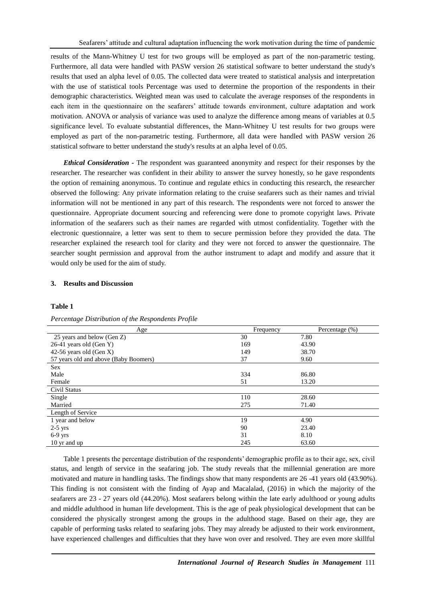results of the Mann-Whitney U test for two groups will be employed as part of the non-parametric testing. Furthermore, all data were handled with PASW version 26 statistical software to better understand the study's results that used an alpha level of 0.05. The collected data were treated to statistical analysis and interpretation with the use of statistical tools Percentage was used to determine the proportion of the respondents in their demographic characteristics. Weighted mean was used to calculate the average responses of the respondents in each item in the questionnaire on the seafarers' attitude towards environment, culture adaptation and work motivation. ANOVA or analysis of variance was used to analyze the difference among means of variables at 0.5 significance level. To evaluate substantial differences, the Mann-Whitney U test results for two groups were employed as part of the non-parametric testing. Furthermore, all data were handled with PASW version 26 statistical software to better understand the study's results at an alpha level of 0.05.

*Ethical Consideration -* The respondent was guaranteed anonymity and respect for their responses by the researcher. The researcher was confident in their ability to answer the survey honestly, so he gave respondents the option of remaining anonymous. To continue and regulate ethics in conducting this research, the researcher observed the following: Any private information relating to the cruise seafarers such as their names and trivial information will not be mentioned in any part of this research. The respondents were not forced to answer the questionnaire. Appropriate document sourcing and referencing were done to promote copyright laws. Private information of the seafarers such as their names are regarded with utmost confidentiality. Together with the electronic questionnaire, a letter was sent to them to secure permission before they provided the data. The researcher explained the research tool for clarity and they were not forced to answer the questionnaire. The searcher sought permission and approval from the author instrument to adapt and modify and assure that it would only be used for the aim of study.

#### **3. Results and Discussion**

#### **Table 1**

| Percentage Distribution of the Respondents Profile |  |  |  |
|----------------------------------------------------|--|--|--|
|----------------------------------------------------|--|--|--|

| Age                                   | Frequency | Percentage (%) |
|---------------------------------------|-----------|----------------|
| 25 years and below (Gen Z)            | 30        | 7.80           |
| 26-41 years old (Gen Y)               | 169       | 43.90          |
| 42-56 years old (Gen X)               | 149       | 38.70          |
| 57 years old and above (Baby Boomers) | 37        | 9.60           |
| <b>Sex</b>                            |           |                |
| Male                                  | 334       | 86.80          |
| Female                                | 51        | 13.20          |
| Civil Status                          |           |                |
| Single                                | 110       | 28.60          |
| Married                               | 275       | 71.40          |
| Length of Service                     |           |                |
| 1 year and below                      | 19        | 4.90           |
| $2-5$ yrs                             | 90        | 23.40          |
| $6-9$ yrs                             | 31        | 8.10           |
| 10 yr and up                          | 245       | 63.60          |

Table 1 presents the percentage distribution of the respondents' demographic profile as to their age, sex, civil status, and length of service in the seafaring job. The study reveals that the millennial generation are more motivated and mature in handling tasks. The findings show that many respondents are 26 -41 years old (43.90%). This finding is not consistent with the finding of Ayap and Macalalad, (2016) in which the majority of the seafarers are 23 - 27 years old (44.20%). Most seafarers belong within the late early adulthood or young adults and middle adulthood in human life development. This is the age of peak physiological development that can be considered the physically strongest among the groups in the adulthood stage. Based on their age, they are capable of performing tasks related to seafaring jobs. They may already be adjusted to their work environment, have experienced challenges and difficulties that they have won over and resolved. They are even more skillful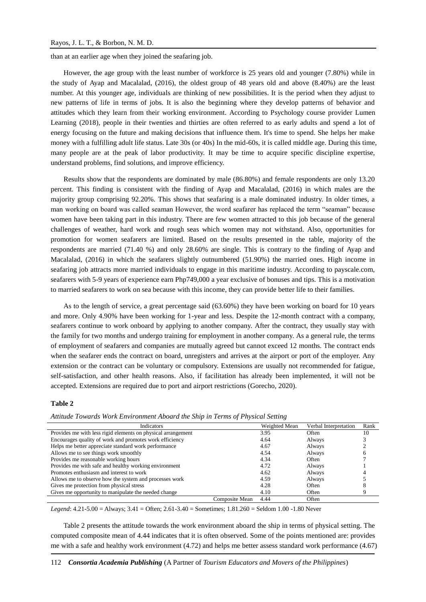than at an earlier age when they joined the seafaring job.

However, the age group with the least number of workforce is 25 years old and younger (7.80%) while in the study of Ayap and Macalalad, (2016), the oldest group of 48 years old and above (8.40%) are the least number. At this younger age, individuals are thinking of new possibilities. It is the period when they adjust to new patterns of life in terms of jobs. It is also the beginning where they develop patterns of behavior and attitudes which they learn from their working environment. According to Psychology course provider Lumen Learning (2018), people in their twenties and thirties are often referred to as early adults and spend a lot of energy focusing on the future and making decisions that influence them. It's time to spend. She helps her make money with a fulfilling adult life status. Late 30s (or 40s) In the mid-60s, it is called middle age. During this time, many people are at the peak of labor productivity. It may be time to acquire specific discipline expertise, understand problems, find solutions, and improve efficiency.

Results show that the respondents are dominated by male (86.80%) and female respondents are only 13.20 percent. This finding is consistent with the finding of Ayap and Macalalad, (2016) in which males are the majority group comprising 92.20%. This shows that seafaring is a male dominated industry. In older times, a man working on board was called seaman However, the word seafarer has replaced the term "seaman" because women have been taking part in this industry. There are few women attracted to this job because of the general challenges of weather, hard work and rough seas which women may not withstand. Also, opportunities for promotion for women seafarers are limited. Based on the results presented in the table, majority of the respondents are married (71.40 %) and only 28.60% are single. This is contrary to the finding of Ayap and Macalalad, (2016) in which the seafarers slightly outnumbered (51.90%) the married ones. High income in seafaring job attracts more married individuals to engage in this maritime industry. According to payscale.com, seafarers with 5-9 years of experience earn Php749,000 a year exclusive of bonuses and tips. This is a motivation to married seafarers to work on sea because with this income, they can provide better life to their families.

As to the length of service, a great percentage said (63.60%) they have been working on board for 10 years and more. Only 4.90% have been working for 1-year and less. Despite the 12-month contract with a company, seafarers continue to work onboard by applying to another company. After the contract, they usually stay with the family for two months and undergo training for employment in another company. As a general rule, the terms of employment of seafarers and companies are mutually agreed but cannot exceed 12 months. The contract ends when the seafarer ends the contract on board, unregisters and arrives at the airport or port of the employer. Any extension or the contract can be voluntary or compulsory. Extensions are usually not recommended for fatigue, self-satisfaction, and other health reasons. Also, if facilitation has already been implemented, it will not be accepted. Extensions are required due to port and airport restrictions (Gorecho, 2020).

## **Table 2**

| Indicators                                                   |                | Weighted Mean | Verbal Interpretation | Rank |
|--------------------------------------------------------------|----------------|---------------|-----------------------|------|
| Provides me with less rigid elements on physical arrangement |                | 3.95          | Often                 | 10   |
| Encourages quality of work and promotes work efficiency      |                | 4.64          | Always                |      |
| Helps me better appreciate standard work performance         |                | 4.67          | Always                |      |
| Allows me to see things work smoothly                        |                | 4.54          | Always                |      |
| Provides me reasonable working hours                         |                | 4.34          | Often                 |      |
| Provides me with safe and healthy working environment        |                | 4.72          | Always                |      |
| Promotes enthusiasm and interest to work                     |                | 4.62          | Always                |      |
| Allows me to observe how the system and processes work       |                | 4.59          | Always                |      |
| Gives me protection from physical stress                     |                | 4.28          | Often                 |      |
| Gives me opportunity to manipulate the needed change         |                | 4.10          | Often                 |      |
|                                                              | Composite Mean | 4.44          | Often                 |      |

*Attitude Towards Work Environment Aboard the Ship in Terms of Physical Setting*

*Legend*: 4.21-5.00 = Always; 3.41 = Often; 2.61-3.40 = Sometimes; 1.81.260 = Seldom 1.00 -1.80 Never

Table 2 presents the attitude towards the work environment aboard the ship in terms of physical setting. The computed composite mean of 4.44 indicates that it is often observed. Some of the points mentioned are: provides me with a safe and healthy work environment (4.72) and helps me better assess standard work performance (4.67)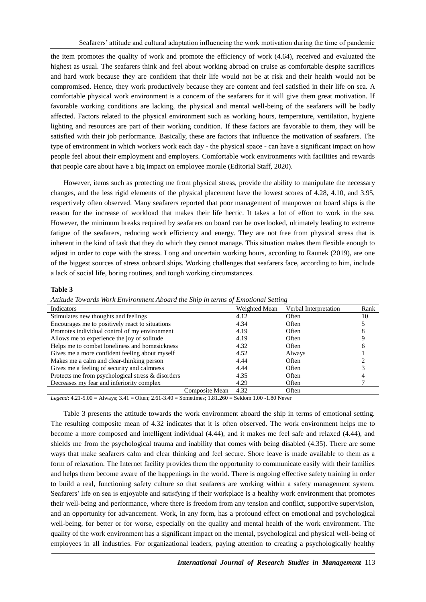the item promotes the quality of work and promote the efficiency of work (4.64), received and evaluated the highest as usual. The seafarers think and feel about working abroad on cruise as comfortable despite sacrifices and hard work because they are confident that their life would not be at risk and their health would not be compromised. Hence, they work productively because they are content and feel satisfied in their life on sea. A comfortable physical work environment is a concern of the seafarers for it will give them great motivation. If favorable working conditions are lacking, the physical and mental well-being of the seafarers will be badly affected. Factors related to the physical environment such as working hours, temperature, ventilation, hygiene lighting and resources are part of their working condition. If these factors are favorable to them, they will be satisfied with their job performance. Basically, these are factors that influence the motivation of seafarers. The type of environment in which workers work each day - the physical space - can have a significant impact on how people feel about their employment and employers. Comfortable work environments with facilities and rewards that people care about have a big impact on employee morale (Editorial Staff, 2020).

However, items such as protecting me from physical stress, provide the ability to manipulate the necessary changes, and the less rigid elements of the physical placement have the lowest scores of 4.28, 4.10, and 3.95, respectively often observed. Many seafarers reported that poor management of manpower on board ships is the reason for the increase of workload that makes their life hectic. It takes a lot of effort to work in the sea. However, the minimum breaks required by seafarers on board can be overlooked, ultimately leading to extreme fatigue of the seafarers, reducing work efficiency and energy. They are not free from physical stress that is inherent in the kind of task that they do which they cannot manage. This situation makes them flexible enough to adjust in order to cope with the stress. Long and uncertain working hours, according to Raunek (2019), are one of the biggest sources of stress onboard ships. Working challenges that seafarers face, according to him, include a lack of social life, boring routines, and tough working circumstances.

## **Table 3**

| Indicators                                        | Weighted Mean | Verbal Interpretation | Rank |
|---------------------------------------------------|---------------|-----------------------|------|
| Stimulates new thoughts and feelings              | 4.12          | Often                 | 10   |
| Encourages me to positively react to situations   | 4.34          | Often                 |      |
| Promotes individual control of my environment     | 4.19          | Often                 |      |
| Allows me to experience the joy of solitude       | 4.19          | Often                 |      |
| Helps me to combat loneliness and homesickness    | 4.32          | Often                 |      |
| Gives me a more confident feeling about myself    | 4.52          | Always                |      |
| Makes me a calm and clear-thinking person         | 4.44          | Often                 |      |
| Gives me a feeling of security and calmness       | 4.44          | Often                 |      |
| Protects me from psychological stress & disorders | 4.35          | Often                 |      |
| Decreases my fear and inferiority complex         | 4.29          | Often                 |      |
| Composite Mean                                    | 4.32          | Often                 |      |

*Legend*: 4.21-5.00 = Always; 3.41 = Often; 2.61-3.40 = Sometimes; 1.81.260 = Seldom 1.00 -1.80 Never

Table 3 presents the attitude towards the work environment aboard the ship in terms of emotional setting. The resulting composite mean of 4.32 indicates that it is often observed. The work environment helps me to become a more composed and intelligent individual (4.44), and it makes me feel safe and relaxed (4.44), and shields me from the psychological trauma and inability that comes with being disabled (4.35). There are some ways that make seafarers calm and clear thinking and feel secure. Shore leave is made available to them as a form of relaxation. The Internet facility provides them the opportunity to communicate easily with their families and helps them become aware of the happenings in the world. There is ongoing effective safety training in order to build a real, functioning safety culture so that seafarers are working within a safety management system. Seafarers' life on sea is enjoyable and satisfying if their workplace is a healthy work environment that promotes their well-being and performance, where there is freedom from any tension and conflict, supportive supervision, and an opportunity for advancement. Work, in any form, has a profound effect on emotional and psychological well-being, for better or for worse, especially on the quality and mental health of the work environment. The quality of the work environment has a significant impact on the mental, psychological and physical well-being of employees in all industries. For organizational leaders, paying attention to creating a psychologically healthy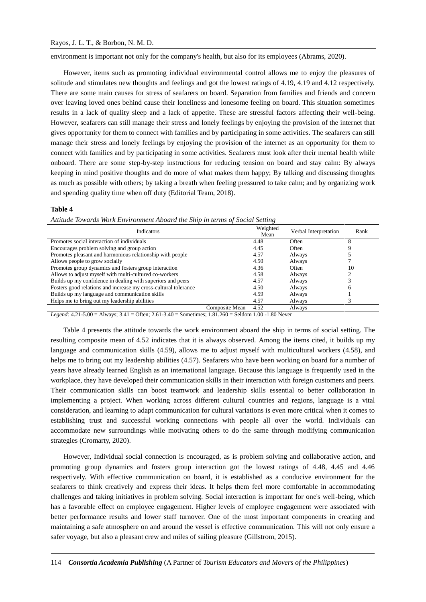environment is important not only for the company's health, but also for its employees (Abrams, 2020).

However, items such as promoting individual environmental control allows me to enjoy the pleasures of solitude and stimulates new thoughts and feelings and got the lowest ratings of 4.19, 4.19 and 4.12 respectively. There are some main causes for stress of seafarers on board. Separation from families and friends and concern over leaving loved ones behind cause their loneliness and lonesome feeling on board. This situation sometimes results in a lack of quality sleep and a lack of appetite. These are stressful factors affecting their well-being. However, seafarers can still manage their stress and lonely feelings by enjoying the provision of the internet that gives opportunity for them to connect with families and by participating in some activities. The seafarers can still manage their stress and lonely feelings by enjoying the provision of the internet as an opportunity for them to connect with families and by participating in some activities. Seafarers must look after their mental health while onboard. There are some step-by-step instructions for reducing tension on board and stay calm: By always keeping in mind positive thoughts and do more of what makes them happy; By talking and discussing thoughts as much as possible with others; by taking a breath when feeling pressured to take calm; and by organizing work and spending quality time when off duty (Editorial Team, 2018).

#### **Table 4**

*Attitude Towards Work Environment Aboard the Ship in terms of Social Setting*

| <b>Indicators</b>                                               |                | Weighted<br>Mean | Verbal Interpretation | Rank |
|-----------------------------------------------------------------|----------------|------------------|-----------------------|------|
| Promotes social interaction of individuals                      |                | 4.48             | Often                 |      |
| Encourages problem solving and group action                     |                | 4.45             | Often                 |      |
| Promotes pleasant and harmonious relationship with people       |                | 4.57             | Always                |      |
| Allows people to grow socially                                  |                | 4.50             | Always                |      |
| Promotes group dynamics and fosters group interaction           |                | 4.36             | Often                 | 10   |
| Allows to adjust myself with multi-cultured co-workers          |                | 4.58             | Always                |      |
| Builds up my confidence in dealing with superiors and peers     |                | 4.57             | Always                |      |
| Fosters good relations and increase my cross-cultural tolerance |                | 4.50             | Always                | n    |
| Builds up my language and communication skills                  |                | 4.59             | Always                |      |
| Helps me to bring out my leadership abilities                   |                | 4.57             | Always                |      |
|                                                                 | Composite Mean | 4.52             | Always                |      |

*Legend:* 4.21-5.00 = Always; 3.41 = Often; 2.61-3.40 = Sometimes; 1.81.260 = Seldom 1.00 -1.80 Never

Table 4 presents the attitude towards the work environment aboard the ship in terms of social setting. The resulting composite mean of 4.52 indicates that it is always observed. Among the items cited, it builds up my language and communication skills (4.59), allows me to adjust myself with multicultural workers (4.58), and helps me to bring out my leadership abilities (4.57). Seafarers who have been working on board for a number of years have already learned English as an international language. Because this language is frequently used in the workplace, they have developed their communication skills in their interaction with foreign customers and peers. Their communication skills can boost teamwork and leadership skills essential to better collaboration in implementing a project. When working across different cultural countries and regions, language is a vital consideration, and learning to adapt communication for cultural variations is even more critical when it comes to establishing trust and successful working connections with people all over the world. Individuals can accommodate new surroundings while motivating others to do the same through modifying communication strategies (Cromarty, 2020).

However, Individual social connection is encouraged, as is problem solving and collaborative action, and promoting group dynamics and fosters group interaction got the lowest ratings of 4.48, 4.45 and 4.46 respectively. With effective communication on board, it is established as a conducive environment for the seafarers to think creatively and express their ideas. It helps them feel more comfortable in accommodating challenges and taking initiatives in problem solving. Social interaction is important for one's well-being, which has a favorable effect on employee engagement. Higher levels of employee engagement were associated with better performance results and lower staff turnover. One of the most important components in creating and maintaining a safe atmosphere on and around the vessel is effective communication. This will not only ensure a safer voyage, but also a pleasant crew and miles of sailing pleasure (Gillstrom, 2015).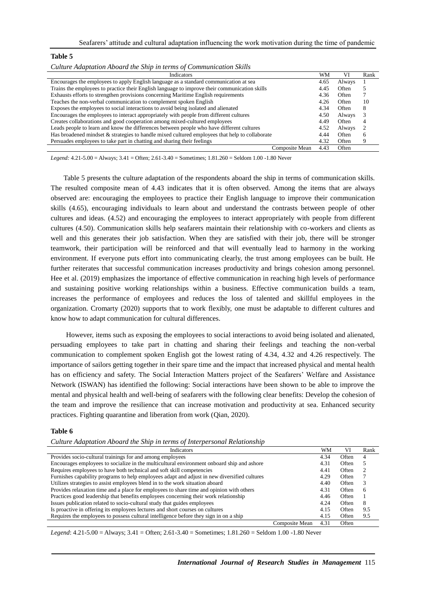| Culture Adaptation Aboard the Ship in terms of Communication Skills                            |      |        |      |
|------------------------------------------------------------------------------------------------|------|--------|------|
| <b>Indicators</b>                                                                              | WM   | VI     | Rank |
| Encourages the employees to apply English language as a standard communication at sea          | 4.65 | Always |      |
| Trains the employees to practice their English language to improve their communication skills  | 4.45 | Often  |      |
| Exhausts efforts to strengthen provisions concerning Maritime English requirements             | 4.36 | Often  |      |
| Teaches the non-verbal communication to complement spoken English                              | 4.26 | Often  | 10   |
| Exposes the employees to social interactions to avoid being isolated and alienated             | 4.34 | Often  | 8    |
| Encourages the employees to interact appropriately with people from different cultures         | 4.50 | Always | 3    |
| Creates collaborations and good cooperation among mixed-cultured employees                     | 4.49 | Often  | 4    |
| Leads people to learn and know the differences between people who have different cultures      | 4.52 | Always |      |
| Has broadened mindset & strategies to handle mixed cultured employees that help to collaborate | 4.44 | Often  | 6    |
| Persuades employees to take part in chatting and sharing their feelings                        | 4.32 | Often  | 9    |
| Composite Mean                                                                                 | 4.43 | Often  |      |

*Legend:* 4.21-5.00 = Always; 3.41 = Often; 2.61-3.40 = Sometimes; 1.81.260 = Seldom 1.00 -1.80 Never

Table 5 presents the culture adaptation of the respondents aboard the ship in terms of communication skills. The resulted composite mean of 4.43 indicates that it is often observed. Among the items that are always observed are: encouraging the employees to practice their English language to improve their communication skills (4.65), encouraging individuals to learn about and understand the contrasts between people of other cultures and ideas. (4.52) and encouraging the employees to interact appropriately with people from different cultures (4.50). Communication skills help seafarers maintain their relationship with co-workers and clients as well and this generates their job satisfaction. When they are satisfied with their job, there will be stronger teamwork, their participation will be reinforced and that will eventually lead to harmony in the working environment. If everyone puts effort into communicating clearly, the trust among employees can be built. He further reiterates that successful communication increases productivity and brings cohesion among personnel. Hee et al. (2019) emphasizes the importance of effective communication in reaching high levels of performance and sustaining positive working relationships within a business. Effective communication builds a team, increases the performance of employees and reduces the loss of talented and skillful employees in the organization. Cromarty (2020) supports that to work flexibly, one must be adaptable to different cultures and know how to adapt communication for cultural differences.

However, items such as exposing the employees to social interactions to avoid being isolated and alienated, persuading employees to take part in chatting and sharing their feelings and teaching the non-verbal communication to complement spoken English got the lowest rating of 4.34, 4.32 and 4.26 respectively. The importance of sailors getting together in their spare time and the impact that increased physical and mental health has on efficiency and safety. The Social Interaction Matters project of the Seafarers' Welfare and Assistance Network (ISWAN) has identified the following: Social interactions have been shown to be able to improve the mental and physical health and well-being of seafarers with the following clear benefits: Develop the cohesion of the team and improve the resilience that can increase motivation and productivity at sea. Enhanced security practices. Fighting quarantine and liberation from work (Qian, 2020).

#### **Table 6**

**Table 5**

*Culture Adaptation Aboard the Ship in terms of Interpersonal Relationship*

| Indicators                                                                                   |                | WM   | VI    | Rank |
|----------------------------------------------------------------------------------------------|----------------|------|-------|------|
| Provides socio-cultural trainings for and among employees                                    |                | 4.34 | Often | 4    |
| Encourages employees to socialize in the multicultural environment onboard ship and ashore   |                | 4.31 | Often |      |
| Requires employees to have both technical and soft skill competencies                        |                | 4.41 | Often |      |
| Furnishes capability programs to help employees adapt and adjust in new diversified cultures |                | 4.29 | Often |      |
| Utilizes strategies to assist employees blend in to the work situation aboard                |                | 4.40 | Often | 3    |
| Provides relaxation time and a place for employees to share time and opinion with others     |                | 4.31 | Often | 6    |
| Practices good leadership that benefits employees concerning their work relationship         |                | 4.46 | Often |      |
| Issues publication related to socio-cultural study that guides employees                     |                | 4.24 | Often | 8    |
| Is proactive in offering its employees lectures and short courses on cultures                |                | 4.15 | Often | 9.5  |
| Requires the employees to possess cultural intelligence before they sign in on a ship        |                | 4.15 | Often | 9.5  |
|                                                                                              | Composite Mean | 4.31 | Often |      |

*Legend*: 4.21-5.00 = Always; 3.41 = Often; 2.61-3.40 = Sometimes; 1.81.260 = Seldom 1.00 -1.80 Never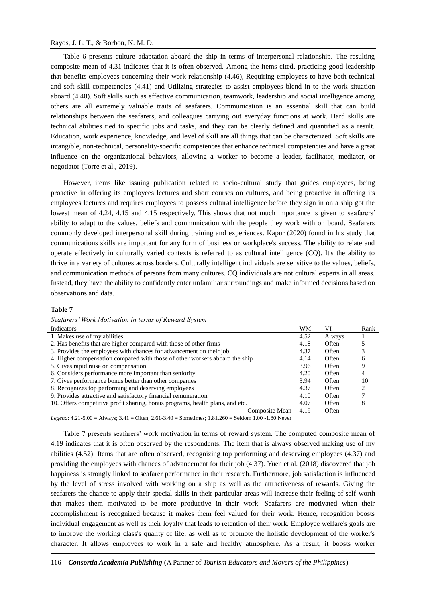## Rayos, J. L. T., & Borbon, N. M. D.

Table 6 presents culture adaptation aboard the ship in terms of interpersonal relationship. The resulting composite mean of 4.31 indicates that it is often observed. Among the items cited, practicing good leadership that benefits employees concerning their work relationship (4.46), Requiring employees to have both technical and soft skill competencies (4.41) and Utilizing strategies to assist employees blend in to the work situation aboard (4.40). Soft skills such as effective communication, teamwork, leadership and social intelligence among others are all extremely valuable traits of seafarers. Communication is an essential skill that can build relationships between the seafarers, and colleagues carrying out everyday functions at work. Hard skills are technical abilities tied to specific jobs and tasks, and they can be clearly defined and quantified as a result. Education, work experience, knowledge, and level of skill are all things that can be characterized. Soft skills are intangible, non-technical, personality-specific competences that enhance technical competencies and have a great influence on the organizational behaviors, allowing a worker to become a leader, facilitator, mediator, or negotiator (Torre et al., 2019).

However, items like issuing publication related to socio-cultural study that guides employees, being proactive in offering its employees lectures and short courses on cultures, and being proactive in offering its employees lectures and requires employees to possess cultural intelligence before they sign in on a ship got the lowest mean of 4.24, 4.15 and 4.15 respectively. This shows that not much importance is given to seafarers' ability to adapt to the values, beliefs and communication with the people they work with on board. Seafarers commonly developed interpersonal skill during training and experiences. Kapur (2020) found in his study that communications skills are important for any form of business or workplace's success. The ability to relate and operate effectively in culturally varied contexts is referred to as cultural intelligence (CQ). It's the ability to thrive in a variety of cultures across borders. Culturally intelligent individuals are sensitive to the values, beliefs, and communication methods of persons from many cultures. CQ individuals are not cultural experts in all areas. Instead, they have the ability to confidently enter unfamiliar surroundings and make informed decisions based on observations and data.

## **Table 7**

*Seafarers' Work Motivation in terms of Reward System*

| Indicators                                                                    | WM   | VI     | Rank |
|-------------------------------------------------------------------------------|------|--------|------|
| 1. Makes use of my abilities.                                                 | 4.52 | Always |      |
| 2. Has benefits that are higher compared with those of other firms            | 4.18 | Often  |      |
| 3. Provides the employees with chances for advancement on their job           | 4.37 | Often  |      |
| 4. Higher compensation compared with those of other workers aboard the ship   | 4.14 | Often  |      |
| 5. Gives rapid raise on compensation                                          | 3.96 | Often  |      |
| 6. Considers performance more important than seniority                        | 4.20 | Often  |      |
| 7. Gives performance bonus better than other companies                        | 3.94 | Often  | 10   |
| 8. Recognizes top performing and deserving employees                          | 4.37 | Often  |      |
| 9. Provides attractive and satisfactory financial remuneration                | 4.10 | Often  |      |
| 10. Offers competitive profit sharing, bonus programs, health plans, and etc. | 4.07 | Often  |      |
| Composite Mean                                                                | 4.19 | Often  |      |

*Legend*: 4.21-5.00 = Always; 3.41 = Often; 2.61-3.40 = Sometimes; 1.81.260 = Seldom 1.00 -1.80 Never

Table 7 presents seafarers' work motivation in terms of reward system. The computed composite mean of 4.19 indicates that it is often observed by the respondents. The item that is always observed making use of my abilities (4.52). Items that are often observed, recognizing top performing and deserving employees (4.37) and providing the employees with chances of advancement for their job (4.37). Yuen et al. (2018) discovered that job happiness is strongly linked to seafarer performance in their research. Furthermore, job satisfaction is influenced by the level of stress involved with working on a ship as well as the attractiveness of rewards. Giving the seafarers the chance to apply their special skills in their particular areas will increase their feeling of self-worth that makes them motivated to be more productive in their work. Seafarers are motivated when their accomplishment is recognized because it makes them feel valued for their work. Hence, recognition boosts individual engagement as well as their loyalty that leads to retention of their work. Employee welfare's goals are to improve the working class's quality of life, as well as to promote the holistic development of the worker's character. It allows employees to work in a safe and healthy atmosphere. As a result, it boosts worker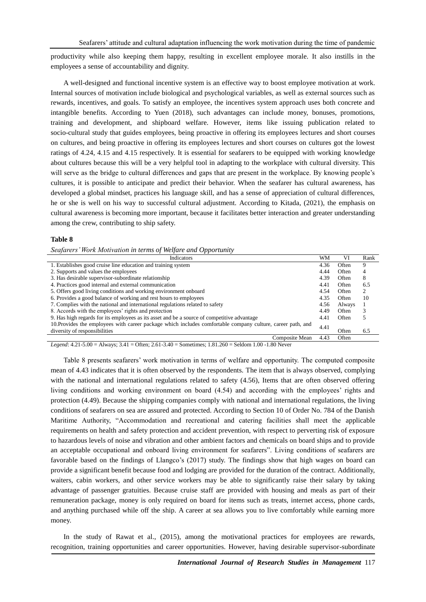productivity while also keeping them happy, resulting in excellent employee morale. It also instills in the employees a sense of accountability and dignity.

A well-designed and functional incentive system is an effective way to boost employee motivation at work. Internal sources of motivation include biological and psychological variables, as well as external sources such as rewards, incentives, and goals. To satisfy an employee, the incentives system approach uses both concrete and intangible benefits. According to Yuen (2018), such advantages can include money, bonuses, promotions, training and development, and shipboard welfare. However, items like issuing publication related to socio-cultural study that guides employees, being proactive in offering its employees lectures and short courses on cultures, and being proactive in offering its employees lectures and short courses on cultures got the lowest ratings of 4.24, 4.15 and 4.15 respectively. It is essential for seafarers to be equipped with working knowledge about cultures because this will be a very helpful tool in adapting to the workplace with cultural diversity. This will serve as the bridge to cultural differences and gaps that are present in the workplace. By knowing people's cultures, it is possible to anticipate and predict their behavior. When the seafarer has cultural awareness, has developed a global mindset, practices his language skill, and has a sense of appreciation of cultural differences, he or she is well on his way to successful cultural adjustment. According to Kitada, (2021), the emphasis on cultural awareness is becoming more important, because it facilitates better interaction and greater understanding among the crew, contributing to ship safety.

# **Table 8**

*Seafarers' Work Motivation in terms of Welfare and Opportunity*

| $\overline{ }$                                                                                              |      |        |      |
|-------------------------------------------------------------------------------------------------------------|------|--------|------|
| Indicators                                                                                                  | WM   | VI     | Rank |
| 1. Establishes good cruise line education and training system                                               | 4.36 | Often  | 9    |
| 2. Supports and values the employees                                                                        | 4.44 | Often  | 4    |
| 3. Has desirable supervisor-subordinate relationship                                                        | 4.39 | Often  | 8    |
| 4. Practices good internal and external communication                                                       | 4.41 | Often  | 6.5  |
| 5. Offers good living conditions and working environment onboard                                            | 4.54 | Often  | 2    |
| 6. Provides a good balance of working and rest hours to employees                                           | 4.35 | Often  | 10   |
| 7. Complies with the national and international regulations related to safety                               | 4.56 | Always |      |
| 8. Accords with the employees' rights and protection                                                        | 4.49 | Often  |      |
| 9. Has high regards for its employees as its asset and be a source of competitive advantage                 | 4.41 | Often  |      |
| 10. Provides the employees with career package which includes comfortable company culture, career path, and | 4.41 |        |      |
| diversity of responsibilities                                                                               |      | Often  | 6.5  |
| Composite Mean                                                                                              | 4.43 | Often  |      |

*Legend*: 4.21-5.00 = Always; 3.41 = Often; 2.61-3.40 = Sometimes; 1.81.260 = Seldom 1.00 -1.80 Never

Table 8 presents seafarers' work motivation in terms of welfare and opportunity. The computed composite mean of 4.43 indicates that it is often observed by the respondents. The item that is always observed, complying with the national and international regulations related to safety (4.56), Items that are often observed offering living conditions and working environment on board (4.54) and according with the employees' rights and protection (4.49). Because the shipping companies comply with national and international regulations, the living conditions of seafarers on sea are assured and protected. According to Section 10 of Order No. 784 of the Danish Maritime Authority, "Accommodation and recreational and catering facilities shall meet the applicable requirements on health and safety protection and accident prevention, with respect to perverting risk of exposure to hazardous levels of noise and vibration and other ambient factors and chemicals on board ships and to provide an acceptable occupational and onboard living environment for seafarers". Living conditions of seafarers are favorable based on the findings of Llangco's (2017) study. The findings show that high wages on board can provide a significant benefit because food and lodging are provided for the duration of the contract. Additionally, waiters, cabin workers, and other service workers may be able to significantly raise their salary by taking advantage of passenger gratuities. Because cruise staff are provided with housing and meals as part of their remuneration package, money is only required on board for items such as treats, internet access, phone cards, and anything purchased while off the ship. A career at sea allows you to live comfortably while earning more money.

In the study of Rawat et al., (2015), among the motivational practices for employees are rewards, recognition, training opportunities and career opportunities. However, having desirable supervisor-subordinate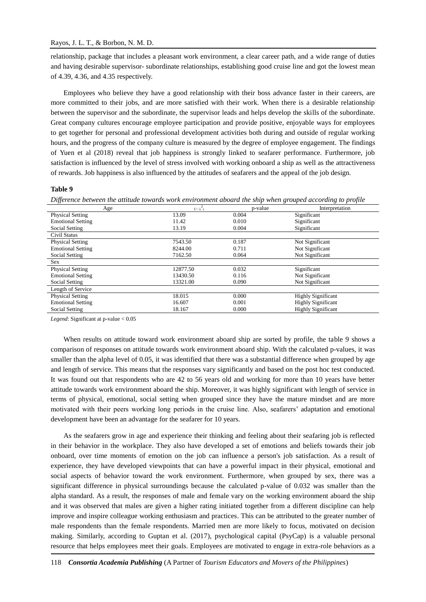relationship, package that includes a pleasant work environment, a clear career path, and a wide range of duties and having desirable supervisor- subordinate relationships, establishing good cruise line and got the lowest mean of 4.39, 4.36, and 4.35 respectively.

Employees who believe they have a good relationship with their boss advance faster in their careers, are more committed to their jobs, and are more satisfied with their work. When there is a desirable relationship between the supervisor and the subordinate, the supervisor leads and helps develop the skills of the subordinate. Great company cultures encourage employee participation and provide positive, enjoyable ways for employees to get together for personal and professional development activities both during and outside of regular working hours, and the progress of the company culture is measured by the degree of employee engagement. The findings of Yuen et al (2018) reveal that job happiness is strongly linked to seafarer performance. Furthermore, job satisfaction is influenced by the level of stress involved with working onboard a ship as well as the attractiveness of rewards. Job happiness is also influenced by the attitudes of seafarers and the appeal of the job design.

#### **Table 9**

*Difference between the attitude towards work environment aboard the ship when grouped according to profile*

| Age                      | $U/\lambda$ <sub>c</sub> | p-value | Interpretation            |
|--------------------------|--------------------------|---------|---------------------------|
| <b>Physical Setting</b>  | 13.09                    | 0.004   | Significant               |
| <b>Emotional Setting</b> | 11.42                    | 0.010   | Significant               |
| Social Setting           | 13.19                    | 0.004   | Significant               |
| Civil Status             |                          |         |                           |
| <b>Physical Setting</b>  | 7543.50                  | 0.187   | Not Significant           |
| <b>Emotional Setting</b> | 8244.00                  | 0.711   | Not Significant           |
| Social Setting           | 7162.50                  | 0.064   | Not Significant           |
| Sex.                     |                          |         |                           |
| <b>Physical Setting</b>  | 12877.50                 | 0.032   | Significant               |
| <b>Emotional Setting</b> | 13430.50                 | 0.116   | Not Significant           |
| Social Setting           | 13321.00                 | 0.090   | Not Significant           |
| Length of Service        |                          |         |                           |
| <b>Physical Setting</b>  | 18.015                   | 0.000   | <b>Highly Significant</b> |
| <b>Emotional Setting</b> | 16.607                   | 0.001   | <b>Highly Significant</b> |
| Social Setting           | 18.167                   | 0.000   | <b>Highly Significant</b> |

*Legend*: Significant at p-value < 0.05

When results on attitude toward work environment aboard ship are sorted by profile, the table 9 shows a comparison of responses on attitude towards work environment aboard ship. With the calculated p-values, it was smaller than the alpha level of 0.05, it was identified that there was a substantial difference when grouped by age and length of service. This means that the responses vary significantly and based on the post hoc test conducted. It was found out that respondents who are 42 to 56 years old and working for more than 10 years have better attitude towards work environment aboard the ship. Moreover, it was highly significant with length of service in terms of physical, emotional, social setting when grouped since they have the mature mindset and are more motivated with their peers working long periods in the cruise line. Also, seafarers' adaptation and emotional development have been an advantage for the seafarer for 10 years.

As the seafarers grow in age and experience their thinking and feeling about their seafaring job is reflected in their behavior in the workplace. They also have developed a set of emotions and beliefs towards their job onboard, over time moments of emotion on the job can influence a person's job satisfaction. As a result of experience, they have developed viewpoints that can have a powerful impact in their physical, emotional and social aspects of behavior toward the work environment. Furthermore, when grouped by sex, there was a significant difference in physical surroundings because the calculated p-value of 0.032 was smaller than the alpha standard. As a result, the responses of male and female vary on the working environment aboard the ship and it was observed that males are given a higher rating initiated together from a different discipline can help improve and inspire colleague working enthusiasm and practices. This can be attributed to the greater number of male respondents than the female respondents. Married men are more likely to focus, motivated on decision making. Similarly, according to Guptan et al. (2017), psychological capital (PsyCap) is a valuable personal resource that helps employees meet their goals. Employees are motivated to engage in extra-role behaviors as a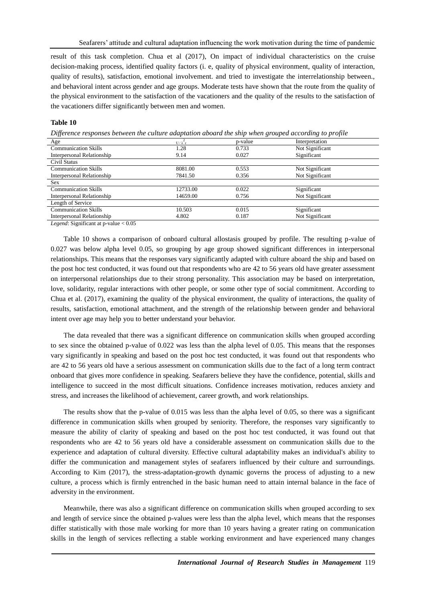result of this task completion. Chua et al (2017), On impact of individual characteristics on the cruise decision-making process, identified quality factors (i. e, quality of physical environment, quality of interaction, quality of results), satisfaction, emotional involvement. and tried to investigate the interrelationship between., and behavioral intent across gender and age groups. Moderate tests have shown that the route from the quality of the physical environment to the satisfaction of the vacationers and the quality of the results to the satisfaction of the vacationers differ significantly between men and women.

## **Table 10**

*Difference responses between the culture adaptation aboard the ship when grouped according to profile*

| Age                         | $U/\lambda$ <sub>c</sub> | p-value | Interpretation  |
|-----------------------------|--------------------------|---------|-----------------|
| <b>Communication Skills</b> | 1.28                     | 0.733   | Not Significant |
| Interpersonal Relationship  | 9.14                     | 0.027   | Significant     |
| Civil Status                |                          |         |                 |
| <b>Communication Skills</b> | 8081.00                  | 0.553   | Not Significant |
| Interpersonal Relationship  | 7841.50                  | 0.356   | Not Significant |
| <b>Sex</b>                  |                          |         |                 |
| <b>Communication Skills</b> | 12733.00                 | 0.022   | Significant     |
| Interpersonal Relationship  | 14659.00                 | 0.756   | Not Significant |
| Length of Service           |                          |         |                 |
| <b>Communication Skills</b> | 10.503                   | 0.015   | Significant     |
| Interpersonal Relationship  | 4.802                    | 0.187   | Not Significant |

*Legend*: Significant at p-value <  $0.05$ 

Table 10 shows a comparison of onboard cultural allostasis grouped by profile. The resulting p-value of 0.027 was below alpha level 0.05, so grouping by age group showed significant differences in interpersonal relationships. This means that the responses vary significantly adapted with culture aboard the ship and based on the post hoc test conducted, it was found out that respondents who are 42 to 56 years old have greater assessment on interpersonal relationships due to their strong personality. This association may be based on interpretation, love, solidarity, regular interactions with other people, or some other type of social commitment. According to Chua et al. (2017), examining the quality of the physical environment, the quality of interactions, the quality of results, satisfaction, emotional attachment, and the strength of the relationship between gender and behavioral intent over age may help you to better understand your behavior.

The data revealed that there was a significant difference on communication skills when grouped according to sex since the obtained p-value of 0.022 was less than the alpha level of 0.05. This means that the responses vary significantly in speaking and based on the post hoc test conducted, it was found out that respondents who are 42 to 56 years old have a serious assessment on communication skills due to the fact of a long term contract onboard that gives more confidence in speaking. Seafarers believe they have the confidence, potential, skills and intelligence to succeed in the most difficult situations. Confidence increases motivation, reduces anxiety and stress, and increases the likelihood of achievement, career growth, and work relationships.

The results show that the p-value of 0.015 was less than the alpha level of 0.05, so there was a significant difference in communication skills when grouped by seniority. Therefore, the responses vary significantly to measure the ability of clarity of speaking and based on the post hoc test conducted, it was found out that respondents who are 42 to 56 years old have a considerable assessment on communication skills due to the experience and adaptation of cultural diversity. Effective cultural adaptability makes an individual's ability to differ the communication and management styles of seafarers influenced by their culture and surroundings. According to Kim (2017), the stress-adaptation-growth dynamic governs the process of adjusting to a new culture, a process which is firmly entrenched in the basic human need to attain internal balance in the face of adversity in the environment.

Meanwhile, there was also a significant difference on communication skills when grouped according to sex and length of service since the obtained p-values were less than the alpha level, which means that the responses differ statistically with those male working for more than 10 years having a greater rating on communication skills in the length of services reflecting a stable working environment and have experienced many changes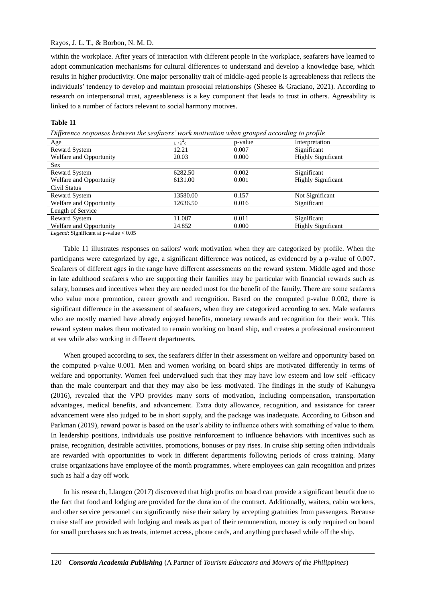## Rayos, J. L. T., & Borbon, N. M. D.

within the workplace. After years of interaction with different people in the workplace, seafarers have learned to adopt communication mechanisms for cultural differences to understand and develop a knowledge base, which results in higher productivity. One major personality trait of middle-aged people is agreeableness that reflects the individuals' tendency to develop and maintain prosocial relationships (Shesee & Graciano, 2021). According to research on interpersonal trust, agreeableness is a key component that leads to trust in others. Agreeability is linked to a number of factors relevant to social harmony motives.

## **Table 11**

*Difference responses between the seafarers' work motivation when grouped according to profile*

| Age                                                                                                    | $U/\lambda^2c$ | p-value | Interpretation            |  |
|--------------------------------------------------------------------------------------------------------|----------------|---------|---------------------------|--|
| <b>Reward System</b>                                                                                   | 12.21          | 0.007   | Significant               |  |
| Welfare and Opportunity                                                                                | 20.03          | 0.000   | <b>Highly Significant</b> |  |
| <b>Sex</b>                                                                                             |                |         |                           |  |
| Reward System                                                                                          | 6282.50        | 0.002   | Significant               |  |
| Welfare and Opportunity                                                                                | 6131.00        | 0.001   | <b>Highly Significant</b> |  |
| Civil Status                                                                                           |                |         |                           |  |
| Reward System                                                                                          | 13580.00       | 0.157   | Not Significant           |  |
| Welfare and Opportunity                                                                                | 12636.50       | 0.016   | Significant               |  |
| Length of Service                                                                                      |                |         |                           |  |
| <b>Reward System</b>                                                                                   | 11.087         | 0.011   | Significant               |  |
| Welfare and Opportunity                                                                                | 24.852         | 0.000   | <b>Highly Significant</b> |  |
| $I_{\text{bound}}$ $I_{\text{total}}$ $I_{\text{bound}}$ $I_{\text{total}}$ $I_{\text{total}}$ $20.05$ |                |         |                           |  |

*Legend*: Significant at p-value < 0.05

Table 11 illustrates responses on sailors' work motivation when they are categorized by profile. When the participants were categorized by age, a significant difference was noticed, as evidenced by a p-value of 0.007. Seafarers of different ages in the range have different assessments on the reward system. Middle aged and those in late adulthood seafarers who are supporting their families may be particular with financial rewards such as salary, bonuses and incentives when they are needed most for the benefit of the family. There are some seafarers who value more promotion, career growth and recognition. Based on the computed p-value 0.002, there is significant difference in the assessment of seafarers, when they are categorized according to sex. Male seafarers who are mostly married have already enjoyed benefits, monetary rewards and recognition for their work. This reward system makes them motivated to remain working on board ship, and creates a professional environment at sea while also working in different departments.

When grouped according to sex, the seafarers differ in their assessment on welfare and opportunity based on the computed p-value 0.001. Men and women working on board ships are motivated differently in terms of welfare and opportunity. Women feel undervalued such that they may have low esteem and low self-efficacy than the male counterpart and that they may also be less motivated. The findings in the study of Kahungya (2016), revealed that the VPO provides many sorts of motivation, including compensation, transportation advantages, medical benefits, and advancement. Extra duty allowance, recognition, and assistance for career advancement were also judged to be in short supply, and the package was inadequate. According to Gibson and Parkman (2019), reward power is based on the user's ability to influence others with something of value to them. In leadership positions, individuals use positive reinforcement to influence behaviors with incentives such as praise, recognition, desirable activities, promotions, bonuses or pay rises. In cruise ship setting often individuals are rewarded with opportunities to work in different departments following periods of cross training. Many cruise organizations have employee of the month programmes, where employees can gain recognition and prizes such as half a day off work.

In his research, Llangco (2017) discovered that high profits on board can provide a significant benefit due to the fact that food and lodging are provided for the duration of the contract. Additionally, waiters, cabin workers, and other service personnel can significantly raise their salary by accepting gratuities from passengers. Because cruise staff are provided with lodging and meals as part of their remuneration, money is only required on board for small purchases such as treats, internet access, phone cards, and anything purchased while off the ship.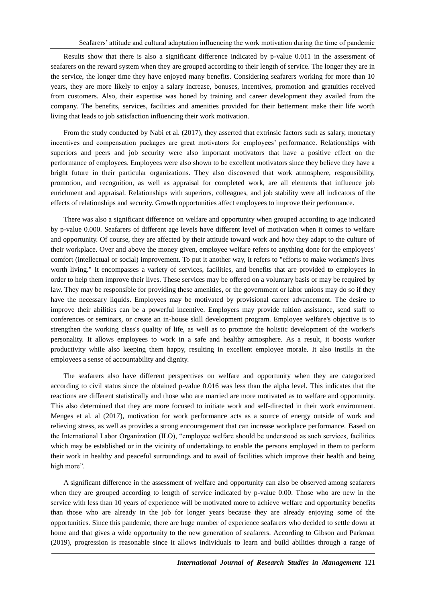Results show that there is also a significant difference indicated by p-value 0.011 in the assessment of seafarers on the reward system when they are grouped according to their length of service. The longer they are in the service, the longer time they have enjoyed many benefits. Considering seafarers working for more than 10 years, they are more likely to enjoy a salary increase, bonuses, incentives, promotion and gratuities received from customers. Also, their expertise was honed by training and career development they availed from the company. The benefits, services, facilities and amenities provided for their betterment make their life worth living that leads to job satisfaction influencing their work motivation.

From the study conducted by Nabi et al. (2017), they asserted that extrinsic factors such as salary, monetary incentives and compensation packages are great motivators for employees' performance. Relationships with superiors and peers and job security were also important motivators that have a positive effect on the performance of employees. Employees were also shown to be excellent motivators since they believe they have a bright future in their particular organizations. They also discovered that work atmosphere, responsibility, promotion, and recognition, as well as appraisal for completed work, are all elements that influence job enrichment and appraisal. Relationships with superiors, colleagues, and job stability were all indicators of the effects of relationships and security. Growth opportunities affect employees to improve their performance.

There was also a significant difference on welfare and opportunity when grouped according to age indicated by p-value 0.000. Seafarers of different age levels have different level of motivation when it comes to welfare and opportunity. Of course, they are affected by their attitude toward work and how they adapt to the culture of their workplace. Over and above the money given, employee welfare refers to anything done for the employees' comfort (intellectual or social) improvement. To put it another way, it refers to "efforts to make workmen's lives worth living." It encompasses a variety of services, facilities, and benefits that are provided to employees in order to help them improve their lives. These services may be offered on a voluntary basis or may be required by law. They may be responsible for providing these amenities, or the government or labor unions may do so if they have the necessary liquids. Employees may be motivated by provisional career advancement. The desire to improve their abilities can be a powerful incentive. Employers may provide tuition assistance, send staff to conferences or seminars, or create an in-house skill development program. Employee welfare's objective is to strengthen the working class's quality of life, as well as to promote the holistic development of the worker's personality. It allows employees to work in a safe and healthy atmosphere. As a result, it boosts worker productivity while also keeping them happy, resulting in excellent employee morale. It also instills in the employees a sense of accountability and dignity.

The seafarers also have different perspectives on welfare and opportunity when they are categorized according to civil status since the obtained p-value 0.016 was less than the alpha level. This indicates that the reactions are different statistically and those who are married are more motivated as to welfare and opportunity. This also determined that they are more focused to initiate work and self-directed in their work environment. Menges et al. al (2017), motivation for work performance acts as a source of energy outside of work and relieving stress, as well as provides a strong encouragement that can increase workplace performance. Based on the International Labor Organization (ILO), "employee welfare should be understood as such services, facilities which may be established or in the vicinity of undertakings to enable the persons employed in them to perform their work in healthy and peaceful surroundings and to avail of facilities which improve their health and being high more".

A significant difference in the assessment of welfare and opportunity can also be observed among seafarers when they are grouped according to length of service indicated by p-value 0.00. Those who are new in the service with less than 10 years of experience will be motivated more to achieve welfare and opportunity benefits than those who are already in the job for longer years because they are already enjoying some of the opportunities. Since this pandemic, there are huge number of experience seafarers who decided to settle down at home and that gives a wide opportunity to the new generation of seafarers. According to Gibson and Parkman (2019), progression is reasonable since it allows individuals to learn and build abilities through a range of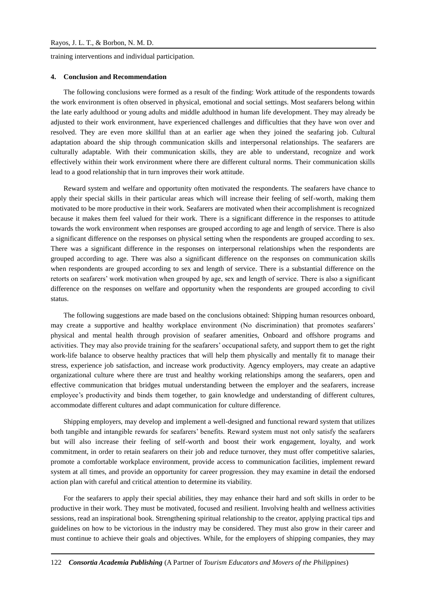training interventions and individual participation.

#### **4. Conclusion and Recommendation**

The following conclusions were formed as a result of the finding: Work attitude of the respondents towards the work environment is often observed in physical, emotional and social settings. Most seafarers belong within the late early adulthood or young adults and middle adulthood in human life development. They may already be adjusted to their work environment, have experienced challenges and difficulties that they have won over and resolved. They are even more skillful than at an earlier age when they joined the seafaring job. Cultural adaptation aboard the ship through communication skills and interpersonal relationships. The seafarers are culturally adaptable. With their communication skills, they are able to understand, recognize and work effectively within their work environment where there are different cultural norms. Their communication skills lead to a good relationship that in turn improves their work attitude.

Reward system and welfare and opportunity often motivated the respondents. The seafarers have chance to apply their special skills in their particular areas which will increase their feeling of self-worth, making them motivated to be more productive in their work. Seafarers are motivated when their accomplishment is recognized because it makes them feel valued for their work. There is a significant difference in the responses to attitude towards the work environment when responses are grouped according to age and length of service. There is also a significant difference on the responses on physical setting when the respondents are grouped according to sex. There was a significant difference in the responses on interpersonal relationships when the respondents are grouped according to age. There was also a significant difference on the responses on communication skills when respondents are grouped according to sex and length of service. There is a substantial difference on the retorts on seafarers' work motivation when grouped by age, sex and length of service. There is also a significant difference on the responses on welfare and opportunity when the respondents are grouped according to civil status.

The following suggestions are made based on the conclusions obtained: Shipping human resources onboard, may create a supportive and healthy workplace environment (No discrimination) that promotes seafarers' physical and mental health through provision of seafarer amenities, Onboard and offshore programs and activities. They may also provide training for the seafarers' occupational safety, and support them to get the right work-life balance to observe healthy practices that will help them physically and mentally fit to manage their stress, experience job satisfaction, and increase work productivity. Agency employers, may create an adaptive organizational culture where there are trust and healthy working relationships among the seafarers, open and effective communication that bridges mutual understanding between the employer and the seafarers, increase employee's productivity and binds them together, to gain knowledge and understanding of different cultures, accommodate different cultures and adapt communication for culture difference.

Shipping employers, may develop and implement a well-designed and functional reward system that utilizes both tangible and intangible rewards for seafarers' benefits. Reward system must not only satisfy the seafarers but will also increase their feeling of self-worth and boost their work engagement, loyalty, and work commitment, in order to retain seafarers on their job and reduce turnover, they must offer competitive salaries, promote a comfortable workplace environment, provide access to communication facilities, implement reward system at all times, and provide an opportunity for career progression. they may examine in detail the endorsed action plan with careful and critical attention to determine its viability.

For the seafarers to apply their special abilities, they may enhance their hard and soft skills in order to be productive in their work. They must be motivated, focused and resilient. Involving health and wellness activities sessions, read an inspirational book. Strengthening spiritual relationship to the creator, applying practical tips and guidelines on how to be victorious in the industry may be considered. They must also grow in their career and must continue to achieve their goals and objectives. While, for the employers of shipping companies, they may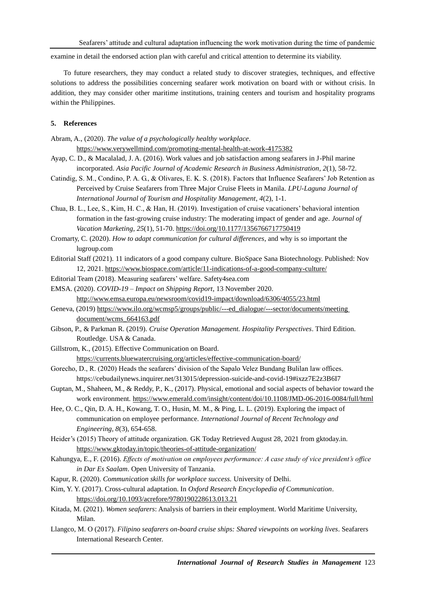examine in detail the endorsed action plan with careful and critical attention to determine its viability.

To future researchers, they may conduct a related study to discover strategies, techniques, and effective solutions to address the possibilities concerning seafarer work motivation on board with or without crisis. In addition, they may consider other maritime institutions, training centers and tourism and hospitality programs within the Philippines.

## **5. References**

Abram, A., (2020). *The value of a psychologically healthy workplace*.

<https://www.verywellmind.com/promoting-mental-health-at-work-4175382>

- Ayap, C. D., & Macalalad, J. A. (2016). Work values and job satisfaction among seafarers in J-Phil marine incorporated. *Asia Pacific Journal of Academic Research in Business Administration*, *2*(1), 58-72.
- Catindig, S. M., Condino, P. A. G., & Olivares, E. K. S. (2018). Factors that Influence Seafarers' Job Retention as Perceived by Cruise Seafarers from Three Major Cruise Fleets in Manila. *LPU-Laguna Journal of International Journal of Tourism and Hospitality Management*, *4*(2), 1-1.
- Chua, B. L., Lee, S., Kim, H. C., & Han, H. (2019). Investigation of cruise vacationers' behavioral intention formation in the fast-growing cruise industry: The moderating impact of gender and age. *Journal of Vacation Marketing*, *25*(1), 51-70. <https://doi.org/10.1177/1356766717750419>

Cromarty, C. (2020). *How to adapt communication for cultural differences*, and why is so important the lugroup.com

- Editorial Staff (2021). 11 indicators of a good company culture. BioSpace Sana Biotechnology. Published: Nov 12, 2021. <https://www.biospace.com/article/11-indications-of-a-good-company-culture/>
- Editorial Team (2018). Measuring seafarers' welfare. Safety4sea.com

EMSA. (2020). *COVID-19 – Impact on Shipping Report*, 13 November 2020. <http://www.emsa.europa.eu/newsroom/covid19-impact/download/6306/4055/23.html>

- Geneva, (2019[\) https://www.ilo.org/wcmsp5/groups/public/---ed\\_dialogue/---sector/documents/meeting](https://www.ilo.org/wcmsp5/groups/public/---ed_dialogue/---sector/documents/meeting%20document/wcms_664163.pdf) [document/wcms\\_664163.pdf](https://www.ilo.org/wcmsp5/groups/public/---ed_dialogue/---sector/documents/meeting%20document/wcms_664163.pdf)
- Gibson, P., & Parkman R. (2019). *Cruise Operation Management. Hospitality Perspectives*. Third Edition. Routledge. USA & Canada.
- Gillstrom, K., (2015). Effective Communication on Board.

<https://currents.bluewatercruising.org/articles/effective-communication-board/>

- Gorecho, D., R. (2020) Heads the seafarers' division of the Sapalo Velez Bundang Bulilan law offices. <https://cebudailynews.inquirer.net/313015/depression-suicide-and-covid-19#ixzz7E2z3B6I7>
- Guptan, M., Shaheen, M., & Reddy, P., K., (2017). Physical, emotional and social aspects of behavior toward the work environment.<https://www.emerald.com/insight/content/doi/10.1108/JMD-06-2016-0084/full/html>
- Hee, O. C., Qin, D. A. H., Kowang, T. O., Husin, M. M., & Ping, L. L. (2019). Exploring the impact of communication on employee performance. *International Journal of Recent Technology and Engineering, 8*(3), 654-658.
- Heider's (2015) Theory of attitude organization. GK Today Retrieved August 28, 2021 from gktoday.in. <https://www.gktoday.in/topic/theories-of-attitude-organization/>
- Kahungya, E., F. (2016). *Effects of motivation on employees performance: A case study of vice president's office in Dar Es Saalam*. Open University of Tanzania.
- Kapur, R. (2020). *Communication skills for workplace success.* University of Delhi.
- Kim, Y. Y. (2017). Cross-cultural adaptation. In *Oxford Research Encyclopedia of Communication*. <https://doi.org/10.1093/acrefore/9780190228613.013.21>
- Kitada, M. (2021). *Women seafarers*: Analysis of barriers in their employment. World Maritime University, Milan.
- Llangco, M. O (2017). *Filipino seafarers on-board cruise ships: Shared viewpoints on working lives*. Seafarers International Research Center.